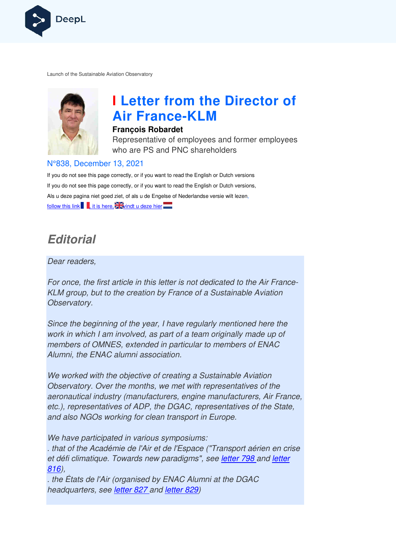

Launch of the Sustainable Aviation Observatory



# **I Letter from the Director of Air France France-KLM**

#### **François Robardet**

Representative of employees and former employees who are PS and PNC shareholders

#### N°838, December 13, 2021

If you do not see this page correctly, or if you want to read the English or Dutch versions If you do not see this page correctly, or if you want to read the English or Dutch versions, Als u deze pagina niet goed ziet, of als u de Engelse of Nederlandse versie wilt lezen, follow this link , it is here,  $\frac{1}{2}$  windt u deze hier

## **Editorial**

#### Dear readers,

For once, the first article in this letter is not dedicated to the Air France-KLM group, but to the creation by France of a Sustainable Aviation Observatory.

Since the beginning of the year, I have regularly mentioned here the work in which I am involved, as part of a team originally made up of members of OMNES, extended in particular to members of ENAC Alumni, the ENAC alumni association.

We worked with the objective of creating a Sustainable Aviation Observatory. Over the months, we met with representatives of the aeronautical industry (manufacturers, engine manufacturers, Air France, etc.), representatives of ADP, the DGAC, representatives of the State, and also NGOs working for clean transport in Europe. bjective of creating a Sustainable Aviation<br>
Frequency months, we met with representatives of the<br>
(manufacturers, engine manufacturers, Air Francorn<br>
of ADP, the DGAC, representatives of the State<br>
in various symposiums:<br>

We have participated in various symposiums:

. that of the Académie de l'Air et de l'Espace ("Transport aérien en crise et défi climatique. Towards new paradigms", see letter 798 and letter 816),

. the États de l'Air (organised by ENAC Alumni at the DGAC headquarters, see *letter 827* and *letter 829*)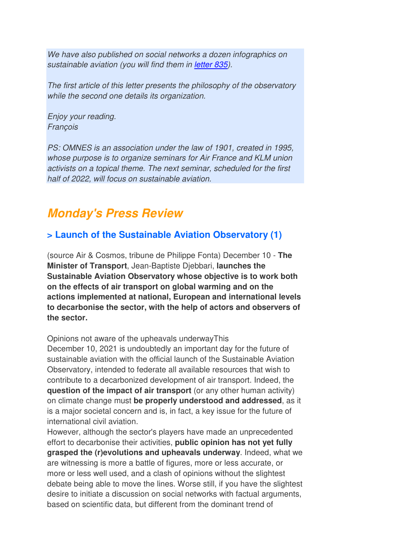We have also published on social networks a dozen infographics on sustainable aviation (you will find them in letter 835).

The first article of this letter presents the philosophy of the observatory while the second one details its organization.

Enjoy your reading. François

PS: OMNES is an association under the law of 1901, created in 1995, whose purpose is to organize seminars for Air France and KLM union activists on a topical theme. The next seminar, scheduled for the first half of 2022, will focus on sustainable aviation.

## **Monday's Press Review**

## **> Launch of the Sustainable Aviation Observatory (1)**

(source Air & Cosmos, tribune de Philippe Fonta) December 10 - **The Minister of Transport**, Jean-Baptiste Djebbari, **launches the Sustainable Aviation Observatory whose objective is to work both on the effects of air transport on global warming and on the actions implemented at national, European and international levels to decarbonise the sector, with the help of actors and observers of the sector.** 

Opinions not aware of the upheavals underwayThis

December 10, 2021 is undoubtedly an important day for the future of sustainable aviation with the official launch of the Sustainable Aviation Observatory, intended to federate all available resources that wish to contribute to a decarbonized development of air transport. Indeed, the **question of the impact of air transport** (or any other human activity) on climate change must **be properly understood and addressed**, as it is a major societal concern and is, in fact, a key issue for the future of international civil aviation.

However, although the sector's players have made an unprecedented effort to decarbonise their activities, **public opinion has not yet fully grasped the (r)evolutions and upheavals underway**. Indeed, what we are witnessing is more a battle of figures, more or less accurate, or more or less well used, and a clash of opinions without the slightest debate being able to move the lines. Worse still, if you have the slightest desire to initiate a discussion on social networks with factual arguments, based on scientific data, but different from the dominant trend of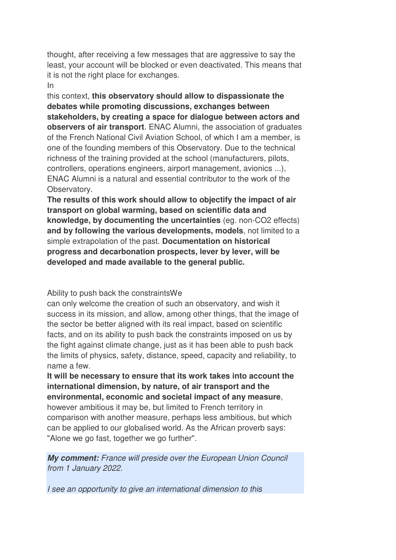thought, after receiving a few messages that are aggressive to say the least, your account will be blocked or even deactivated. This means that it is not the right place for exchanges.

In

this context, **this observatory should allow to dispassionate the debates while promoting discussions, exchanges between stakeholders, by creating a space for dialogue between actors and observers of air transport**. ENAC Alumni, the association of graduates of the French National Civil Aviation School, of which I am a member, is one of the founding members of this Observatory. Due to the technical richness of the training provided at the school (manufacturers, pilots, controllers, operations engineers, airport management, avionics ...), ENAC Alumni is a natural and essential contributor to the work of the Observatory.

**The results of this work should allow to objectify the impact of air transport on global warming, based on scientific data and knowledge, by documenting the uncertainties** (eg. non-CO2 effects) **and by following the various developments, models**, not limited to a simple extrapolation of the past. **Documentation on historical progress and decarbonation prospects, lever by lever, will be developed and made available to the general public.**

Ability to push back the constraintsWe

can only welcome the creation of such an observatory, and wish it success in its mission, and allow, among other things, that the image of the sector be better aligned with its real impact, based on scientific facts, and on its ability to push back the constraints imposed on us by the fight against climate change, just as it has been able to push back the limits of physics, safety, distance, speed, capacity and reliability, to name a few.

**It will be necessary to ensure that its work takes into account the international dimension, by nature, of air transport and the environmental, economic and societal impact of any measure**, however ambitious it may be, but limited to French territory in comparison with another measure, perhaps less ambitious, but which can be applied to our globalised world. As the African proverb says: "Alone we go fast, together we go further".

**My comment:** France will preside over the European Union Council from 1 January 2022.

I see an opportunity to give an international dimension to this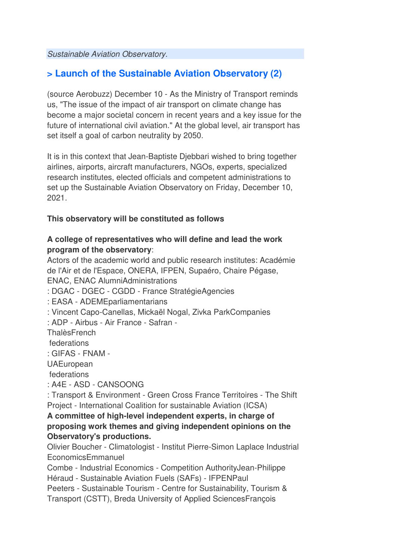Sustainable Aviation Observatory.

### **> Launch of the Sustainable Aviation Observatory (2)**

(source Aerobuzz) December 10 - As the Ministry of Transport reminds us, "The issue of the impact of air transport on climate change has become a major societal concern in recent years and a key issue for the future of international civil aviation." At the global level, air transport has set itself a goal of carbon neutrality by 2050.

It is in this context that Jean-Baptiste Djebbari wished to bring together airlines, airports, aircraft manufacturers, NGOs, experts, specialized research institutes, elected officials and competent administrations to set up the Sustainable Aviation Observatory on Friday, December 10, 2021.

#### **This observatory will be constituted as follows**

#### **A college of representatives who will define and lead the work program of the observatory**:

Actors of the academic world and public research institutes: Académie de l'Air et de l'Espace, ONERA, IFPEN, Supaéro, Chaire Pégase, ENAC, ENAC AlumniAdministrations

- : DGAC DGEC CGDD France StratégieAgencies
- : EASA ADEMEparliamentarians
- : Vincent Capo-Canellas, Mickaël Nogal, Zivka ParkCompanies
- : ADP Airbus Air France Safran -
- **ThalèsFrench**

federations

: GIFAS - FNAM -

**UAEuropean** 

federations

: A4E - ASD - CANSOONG

: Transport & Environment - Green Cross France Territoires - The Shift Project - International Coalition for sustainable Aviation (ICSA)

**A committee of high-level independent experts, in charge of proposing work themes and giving independent opinions on the Observatory's productions.** 

Olivier Boucher - Climatologist - Institut Pierre-Simon Laplace Industrial EconomicsEmmanuel

Combe - Industrial Economics - Competition AuthorityJean-Philippe Héraud - Sustainable Aviation Fuels (SAFs) - IFPENPaul

Peeters - Sustainable Tourism - Centre for Sustainability, Tourism &

Transport (CSTT), Breda University of Applied SciencesFrançois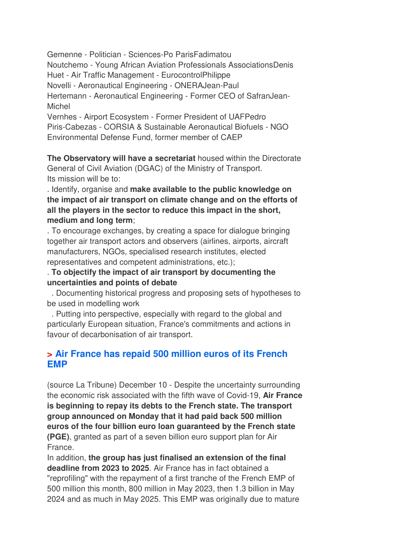Gemenne - Politician - Sciences-Po ParisFadimatou

Noutchemo - Young African Aviation Professionals AssociationsDenis Huet - Air Traffic Management - EurocontrolPhilippe

Novelli - Aeronautical Engineering - ONERAJean-Paul

Hertemann - Aeronautical Engineering - Former CEO of SafranJean-Michel

Vernhes - Airport Ecosystem - Former President of UAFPedro Piris-Cabezas - CORSIA & Sustainable Aeronautical Biofuels - NGO Environmental Defense Fund, former member of CAEP

**The Observatory will have a secretariat** housed within the Directorate General of Civil Aviation (DGAC) of the Ministry of Transport. Its mission will be to:

. Identify, organise and **make available to the public knowledge on the impact of air transport on climate change and on the efforts of all the players in the sector to reduce this impact in the short, medium and long term**;

. To encourage exchanges, by creating a space for dialogue bringing together air transport actors and observers (airlines, airports, aircraft manufacturers, NGOs, specialised research institutes, elected representatives and competent administrations, etc.);

#### . **To objectify the impact of air transport by documenting the uncertainties and points of debate**

 . Documenting historical progress and proposing sets of hypotheses to be used in modelling work

 . Putting into perspective, especially with regard to the global and particularly European situation, France's commitments and actions in favour of decarbonisation of air transport.

### **> Air France has repaid 500 million euros of its French EMP**

(source La Tribune) December 10 - Despite the uncertainty surrounding the economic risk associated with the fifth wave of Covid-19, **Air France is beginning to repay its debts to the French state. The transport group announced on Monday that it had paid back 500 million euros of the four billion euro loan guaranteed by the French state (PGE)**, granted as part of a seven billion euro support plan for Air France.

In addition, **the group has just finalised an extension of the final deadline from 2023 to 2025**. Air France has in fact obtained a "reprofiling" with the repayment of a first tranche of the French EMP of 500 million this month, 800 million in May 2023, then 1.3 billion in May 2024 and as much in May 2025. This EMP was originally due to mature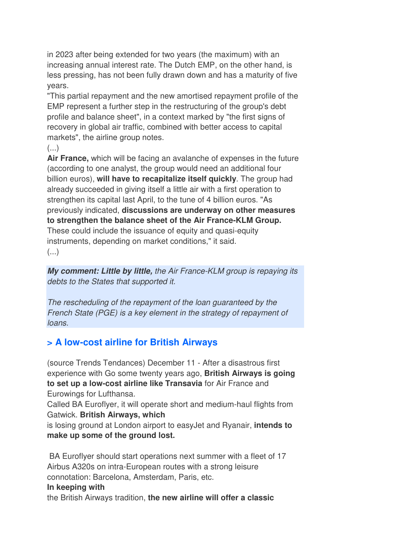in 2023 after being extended for two years (the maximum) with an increasing annual interest rate. The Dutch EMP, on the other hand, is less pressing, has not been fully drawn down and has a maturity of five years.

"This partial repayment and the new amortised repayment profile of the EMP represent a further step in the restructuring of the group's debt profile and balance sheet", in a context marked by "the first signs of recovery in global air traffic, combined with better access to capital markets", the airline group notes.

 $(\ldots)$ 

**Air France,** which will be facing an avalanche of expenses in the future (according to one analyst, the group would need an additional four billion euros), **will have to recapitalize itself quickly**. The group had already succeeded in giving itself a little air with a first operation to strengthen its capital last April, to the tune of 4 billion euros. "As previously indicated, **discussions are underway on other measures to strengthen the balance sheet of the Air France-KLM Group.** These could include the issuance of equity and quasi-equity instruments, depending on market conditions," it said.  $\left( \ldots \right)$ 

**My comment: Little by little,** the Air France-KLM group is repaying its debts to the States that supported it.

The rescheduling of the repayment of the loan guaranteed by the French State (PGE) is a key element in the strategy of repayment of loans.

## **> A low-cost airline for British Airways**

(source Trends Tendances) December 11 - After a disastrous first experience with Go some twenty years ago, **British Airways is going to set up a low-cost airline like Transavia** for Air France and Eurowings for Lufthansa.

Called BA Euroflyer, it will operate short and medium-haul flights from Gatwick. **British Airways, which** 

is losing ground at London airport to easyJet and Ryanair, **intends to make up some of the ground lost.** 

 BA Euroflyer should start operations next summer with a fleet of 17 Airbus A320s on intra-European routes with a strong leisure connotation: Barcelona, Amsterdam, Paris, etc.

#### **In keeping with**

the British Airways tradition, **the new airline will offer a classic**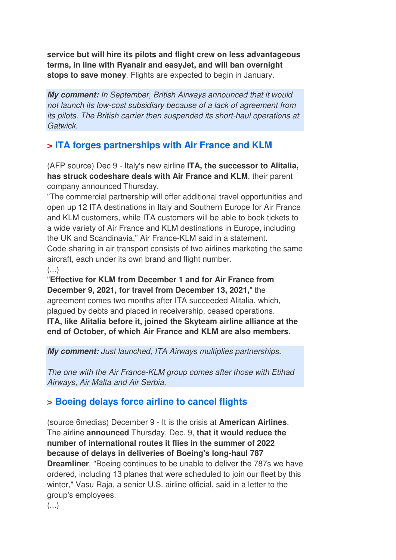**service but will hire its pilots and flight crew on less advantageous terms, in line with Ryanair and easyJet, and will ban overnight stops to save money**. Flights are expected to begin in January.

**My comment:** In September, British Airways announced that it would not launch its low-cost subsidiary because of a lack of agreement from its pilots. The British carrier then suspended its short-haul operations at Gatwick.

## **> ITA forges partnerships with Air France and KLM**

(AFP source) Dec 9 - Italy's new airline **ITA, the successor to Alitalia, has struck codeshare deals with Air France and KLM**, their parent company announced Thursday.

"The commercial partnership will offer additional travel opportunities and open up 12 ITA destinations in Italy and Southern Europe for Air France and KLM customers, while ITA customers will be able to book tickets to a wide variety of Air France and KLM destinations in Europe, including the UK and Scandinavia," Air France-KLM said in a statement. Code-sharing in air transport consists of two airlines marketing the same aircraft, each under its own brand and flight number.  $\left(\ldots\right)$ 

"**Effective for KLM from December 1 and for Air France from December 9, 2021, for travel from December 13, 2021,**" the agreement comes two months after ITA succeeded Alitalia, which, plagued by debts and placed in receivership, ceased operations. **ITA, like Alitalia before it, joined the Skyteam airline alliance at the end of October, of which Air France and KLM are also members**.

**My comment:** Just launched, ITA Airways multiplies partnerships.

The one with the Air France-KLM group comes after those with Etihad Airways, Air Malta and Air Serbia.

## **> Boeing delays force airline to cancel flights**

(source 6medias) December 9 - It is the crisis at **American Airlines**. The airline **announced** Thursday, Dec. 9, **that it would reduce the number of international routes it flies in the summer of 2022 because of delays in deliveries of Boeing's long-haul 787 Dreamliner**. "Boeing continues to be unable to deliver the 787s we have ordered, including 13 planes that were scheduled to join our fleet by this winter," Vasu Raja, a senior U.S. airline official, said in a letter to the group's employees.

(...)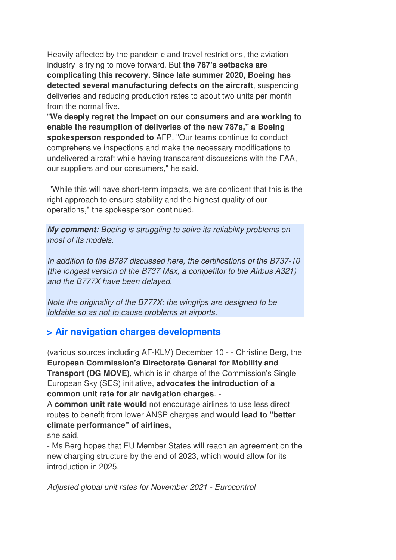Heavily affected by the pandemic and travel restrictions, the aviation industry is trying to move forward. But **the 787's setbacks are complicating this recovery. Since late summer 2020, Boeing has detected several manufacturing defects on the aircraft**, suspending deliveries and reducing production rates to about two units per month from the normal five.

"**We deeply regret the impact on our consumers and are working to enable the resumption of deliveries of the new 787s," a Boeing spokesperson responded to** AFP. "Our teams continue to conduct comprehensive inspections and make the necessary modifications to undelivered aircraft while having transparent discussions with the FAA, our suppliers and our consumers," he said.

 "While this will have short-term impacts, we are confident that this is the right approach to ensure stability and the highest quality of our operations," the spokesperson continued.

**My comment:** Boeing is struggling to solve its reliability problems on most of its models.

In addition to the B787 discussed here, the certifications of the B737-10 (the longest version of the B737 Max, a competitor to the Airbus A321) and the B777X have been delayed.

Note the originality of the B777X: the wingtips are designed to be foldable so as not to cause problems at airports.

## **> Air navigation charges developments**

(various sources including AF-KLM) December 10 - - Christine Berg, the **European Commission's Directorate General for Mobility and Transport (DG MOVE)**, which is in charge of the Commission's Single European Sky (SES) initiative, **advocates the introduction of a common unit rate for air navigation charges**. -

A **common unit rate would** not encourage airlines to use less direct routes to benefit from lower ANSP charges and **would lead to "better climate performance" of airlines,** 

she said.

- Ms Berg hopes that EU Member States will reach an agreement on the new charging structure by the end of 2023, which would allow for its introduction in 2025.

Adjusted global unit rates for November 2021 - Eurocontrol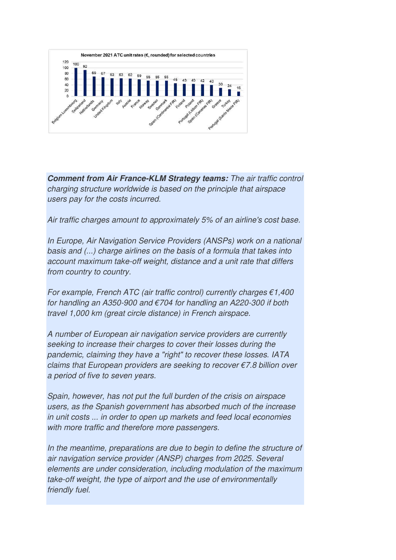

**Comment from Air France-KLM Strategy teams:** The air traffic control charging structure worldwide is based on the principle that airspace users pay for the costs incurred.

Air traffic charges amount to approximately 5% of an airline's cost base.

In Europe, Air Navigation Service Providers (ANSPs) work on a national basis and (...) charge airlines on the basis of a formula that takes into account maximum take-off weight, distance and a unit rate that differs from country to country.

For example, French ATC (air traffic control) currently charges  $€1,400$ for handling an A350-900 and €704 for handling an A220-300 if both travel 1,000 km (great circle distance) in French airspace.

A number of European air navigation service providers are currently seeking to increase their charges to cover their losses during the pandemic, claiming they have a "right" to recover these losses. IATA claims that European providers are seeking to recover  $\epsilon$ 7.8 billion over a period of five to seven years.

Spain, however, has not put the full burden of the crisis on airspace users, as the Spanish government has absorbed much of the increase in unit costs ... in order to open up markets and feed local economies with more traffic and therefore more passengers.

In the meantime, preparations are due to begin to define the structure of air navigation service provider (ANSP) charges from 2025. Several elements are under consideration, including modulation of the maximum take-off weight, the type of airport and the use of environmentally friendly fuel.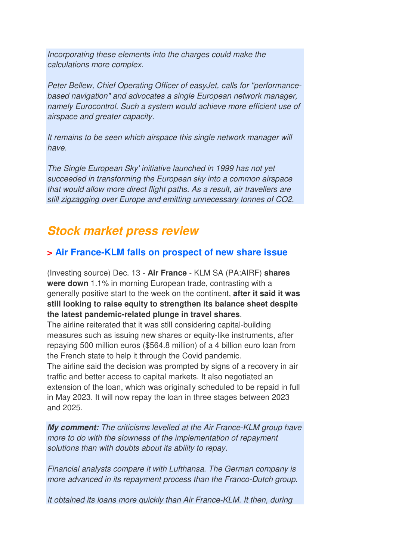Incorporating these elements into the charges could make the calculations more complex.

Peter Bellew, Chief Operating Officer of easyJet, calls for "performancebased navigation" and advocates a single European network manager, namely Eurocontrol. Such a system would achieve more efficient use of airspace and greater capacity.

It remains to be seen which airspace this single network manager will have.

The Single European Sky' initiative launched in 1999 has not yet succeeded in transforming the European sky into a common airspace that would allow more direct flight paths. As a result, air travellers are still zigzagging over Europe and emitting unnecessary tonnes of CO2.

## **Stock market press review**

## **> Air France-KLM falls on prospect of new share issue**

(Investing source) Dec. 13 - **Air France** - KLM SA (PA:AIRF) **shares were down** 1.1% in morning European trade, contrasting with a generally positive start to the week on the continent, **after it said it was still looking to raise equity to strengthen its balance sheet despite the latest pandemic-related plunge in travel shares**.

The airline reiterated that it was still considering capital-building measures such as issuing new shares or equity-like instruments, after repaying 500 million euros (\$564.8 million) of a 4 billion euro loan from the French state to help it through the Covid pandemic.

The airline said the decision was prompted by signs of a recovery in air traffic and better access to capital markets. It also negotiated an extension of the loan, which was originally scheduled to be repaid in full in May 2023. It will now repay the loan in three stages between 2023 and 2025.

**My comment:** The criticisms levelled at the Air France-KLM group have more to do with the slowness of the implementation of repayment solutions than with doubts about its ability to repay.

Financial analysts compare it with Lufthansa. The German company is more advanced in its repayment process than the Franco-Dutch group.

It obtained its loans more quickly than Air France-KLM. It then, during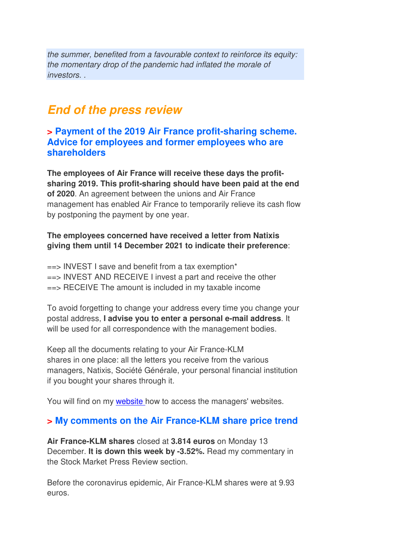the summer, benefited from a favourable context to reinforce its equity: the momentary drop of the pandemic had inflated the morale of investors. .

## **End of the press review**

#### **> Payment of the 2019 Air France profit-sharing scheme. Advice for employees and former employees who are shareholders**

**The employees of Air France will receive these days the profitsharing 2019. This profit-sharing should have been paid at the end of 2020**. An agreement between the unions and Air France management has enabled Air France to temporarily relieve its cash flow by postponing the payment by one year.

#### **The employees concerned have received a letter from Natixis giving them until 14 December 2021 to indicate their preference**:

 $\epsilon$ => INVEST I save and benefit from a tax exemption\* ==> INVEST AND RECEIVE I invest a part and receive the other  $\equiv$  RECEIVE The amount is included in my taxable income

To avoid forgetting to change your address every time you change your postal address, **I advise you to enter a personal e-mail address**. It will be used for all correspondence with the management bodies.

Keep all the documents relating to your Air France-KLM shares in one place: all the letters you receive from the various managers, Natixis, Société Générale, your personal financial institution if you bought your shares through it.

You will find on my website how to access the managers' websites.

### **> My comments on the Air France-KLM share price trend**

**Air France-KLM shares** closed at **3.814 euros** on Monday 13 December. **It is down this week by -3.52%.** Read my commentary in the Stock Market Press Review section.

Before the coronavirus epidemic, Air France-KLM shares were at 9.93 euros.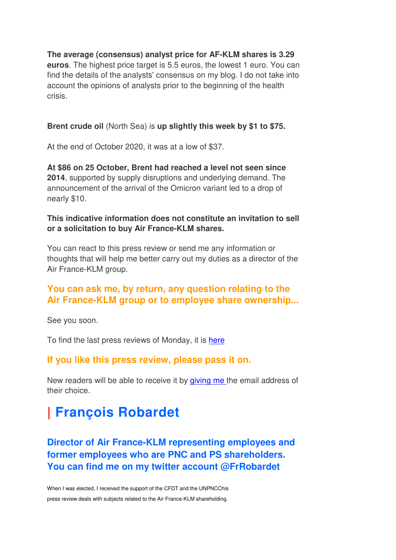**The average (consensus) analyst price for AF-KLM shares is 3.29 euros**. The highest price target is 5.5 euros, the lowest 1 euro. You can find the details of the analysts' consensus on my blog. I do not take into account the opinions of analysts prior to the beginning of the health crisis.

#### **Brent crude oil** (North Sea) is **up slightly this week by \$1 to \$75.**

At the end of October 2020, it was at a low of \$37.

**At \$86 on 25 October, Brent had reached a level not seen since 2014**, supported by supply disruptions and underlying demand. The announcement of the arrival of the Omicron variant led to a drop of nearly \$10.

#### **This indicative information does not constitute an invitation to sell or a solicitation to buy Air France-KLM shares.**

You can react to this press review or send me any information or thoughts that will help me better carry out my duties as a director of the Air France-KLM group.

### **You can ask me, by return, any question relating to the Air France-KLM group or to employee share ownership...**

See you soon.

To find the last press reviews of Monday, it is here

### **If you like this press review, please pass it on.**

New readers will be able to receive it by giving me the email address of their choice.

# **| François Robardet**

**Director of Air France-KLM representing employees and former employees who are PNC and PS shareholders. You can find me on my twitter account @FrRobardet** 

When I was elected, I received the support of the CFDT and the UNPNCChis press review deals with subjects related to the Air France-KLM shareholding.